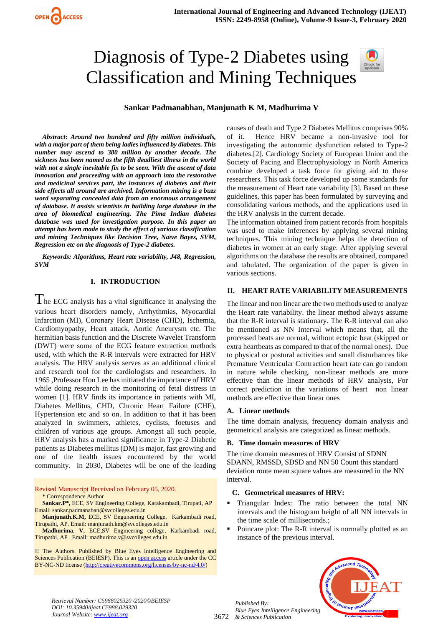# Diagnosis of Type-2 Diabetes using Classification and Mining Techniques



## **Sankar Padmanabhan, Manjunath K M, Madhurima V**

*Abstract***:** *Around two hundred and fifty million individuals, with a major part of them being ladies influenced by diabetes. This number may ascend to 380 million by another decade. The sickness has been named as the fifth deadliest illness in the world with not a single inevitable fix to be seen. With the ascent of data innovation and proceeding with an approach into the restorative and medicinal services part, the instances of diabetes and their side effects all around are archived. Information mining is a buzz word separating concealed data from an enormous arrangement of database. It assists scientists in building large database in the area of biomedical engineering. The Pima Indian diabetes database was used for investigation purpose. In this paper an attempt has been made to study the effect of various classification and mining Techniques like Decision Tree, Naïve Bayes, SVM, Regression etc on the diagnosis of Type-2 diabetes.*

*Keywords: Algorithms, Heart rate variability, J48, Regression, SVM* 

#### **I. INTRODUCTION**

 $\Gamma$  he ECG analysis has a vital significance in analysing the various heart disorders namely, Arrhythmias, Myocardial Infarction (MI), Coronary Heart Disease (CHD), Ischemia, Cardiomyopathy, Heart attack, Aortic Aneurysm etc. The hermitian basis function and the Discrete Wavelet Transform (DWT) were some of the ECG feature extraction methods used, with which the R-R intervals were extracted for HRV analysis. The HRV analysis serves as an additional clinical and research tool for the cardiologists and researchers. In 1965 ,Professor Hon Lee has initiated the importance of HRV while doing research in the monitoring of fetal distress in women [1]. HRV finds its importance in patients with MI, Diabetes Mellitus, CHD, Chronic Heart Failure (CHF), Hypertension etc and so on. In addition to that it has been analyzed in swimmers, athletes, cyclists, foetuses and children of various age groups. Amongst all such people, HRV analysis has a marked significance in Type-2 Diabetic patients as Diabetes mellitus (DM) is major, fast growing and one of the health issues encountered by the world community. In 2030, Diabetes will be one of the leading

Revised Manuscript Received on February 05, 2020. \* Correspondence Author

**Sankar.P\*,** ECE, SV Engineering College, Karakambadi, Tirupati, AP Email: sankar.padmanaban@svcolleges.edu.in

**Manjunath.K.M,** ECE, SV Enguneering College, Karkambadi road, Tirupathi, AP. Email: manjunath.km@svcolleges.edu.in

**Madhurima. V,** ECE,SV Engineering college, Karkambadi road, Tirupathi, AP . Email: madhurima.v@svcolleges.edu.in

© The Authors. Published by Blue Eyes Intelligence Engineering and Sciences Publication (BEIESP). This is a[n open access](https://www.openaccess.nl/en/open-publications) article under the CC BY-NC-ND license [\(http://creativecommons.org/licenses/by-nc-nd/4.0/\)](http://creativecommons.org/licenses/by-nc-nd/4.0/)

causes of death and Type 2 Diabetes Mellitus comprises 90% of it. Hence HRV became a non-invasive tool for investigating the autonomic dysfunction related to Type-2 diabetes.[2]. Cardiology Society of European Union and the Society of Pacing and Electrophysiology in North America combine developed a task force for giving aid to these researchers. This task force developed up some standards for the measurement of Heart rate variability [3]. Based on these guidelines, this paper has been formulated by surveying and consolidating various methods, and the applications used in the HRV analysis in the current decade.

The information obtained from patient records from hospitals was used to make inferences by applying several mining techniques. This mining technique helps the detection of diabetes in women at an early stage. After applying several algorithms on the database the results are obtained, compared and tabulated. The organization of the paper is given in various sections.

### **II. HEART RATE VARIABILITY MEASUREMENTS**

The linear and non linear are the two methods used to analyze the Heart rate variability. the linear method always assume that the R-R interval is stationary. The R-R interval can also be mentioned as NN Interval which means that, all the processed beats are normal, without ectopic beat (skipped or extra heartbeats as compared to that of the normal ones). Due to physical or postural activities and small disturbances like Premature Ventricular Contraction heart rate can go random in nature while checking. non-linear methods are more effective than the linear methods of HRV analysis, For correct prediction in the variations of heart non linear methods are effective than linear ones

#### **A. Linear methods**

The time domain analysis, frequency domain analysis and geometrical analysis are categorized as linear methods.

#### **B. Time domain measures of HRV**

The time domain measures of HRV Consist of SDNN SDANN, RMSSD, SDSD and NN 50 Count this standard deviation route mean square values are measured in the NN interval.

#### **C. Geometrical measures of HRV:**

- Triangular Index: The ratio between the total NN intervals and the histogram height of all NN intervals in the time scale of milliseconds.;
- Poincare plot: The R-R interval is normally plotted as an instance of the previous interval.



*Retrieval Number: C5988029320 /2020©BEIESP DOI: 10.35940/ijeat.C5988.029320 Journal Website[: www.ijeat.org](http://www.ijeat.org/)*

3672 *& Sciences Publication Published By: Blue Eyes Intelligence Engineering*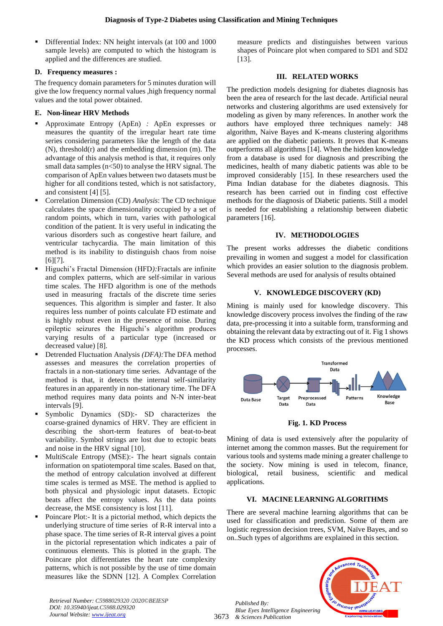Differential Index: NN height intervals (at 100 and 1000 sample levels) are computed to which the histogram is applied and the differences are studied.

# **D. Frequency measures :**

The frequency domain parameters for 5 minutes duration will give the low frequency normal values ,high frequency normal values and the total power obtained.

# **E. Non-linear HRV Methods**

- Approximate Entropy (ApEn) *:* ApEn expresses or measures the quantity of the irregular heart rate time series considering parameters like the length of the data (N), threshold(r) and the embedding dimension (m). The advantage of this analysis method is that, it requires only small data samples  $(n<50)$  to analyse the HRV signal. The comparison of ApEn values between two datasets must be higher for all conditions tested, which is not satisfactory, and consistent [4] [5].
- Correlation Dimension (CD) *Analysis*: The CD technique calculates the space dimensionality occupied by a set of random points, which in turn, varies with pathological condition of the patient. It is very useful in indicating the various disorders such as congestive heart failure, and ventricular tachycardia. The main limitation of this method is its inability to distinguish chaos from noise [6][7].
- Higuchi's Fractal Dimension (HFD): Fractals are infinite and complex patterns, which are self-similar in various time scales. The HFD algorithm is one of the methods used in measuring fractals of the discrete time series sequences. This algorithm is simpler and faster. It also requires less number of points calculate FD estimate and is highly robust even in the presence of noise. During epileptic seizures the Higuchi's algorithm produces varying results of a particular type (increased or decreased value) [8].
- Detrended Fluctuation Analysis *(DFA)*: The DFA method assesses and measures the correlation properties of fractals in a non-stationary time series. Advantage of the method is that, it detects the internal self-similarity features in an apparently in non-stationary time. The DFA method requires many data points and N-N inter-beat intervals [9].
- Symbolic Dynamics (SD):- SD characterizes the coarse-grained dynamics of HRV. They are efficient in describing the short-term features of beat-to-beat variability. Symbol strings are lost due to ectopic beats and noise in the HRV signal [10].
- MultiScale Entropy (MSE):- The heart signals contain information on spatiotemporal time scales. Based on that, the method of entropy calculation involved at different time scales is termed as MSE. The method is applied to both physical and physiologic input datasets. Ectopic beats affect the entropy values. As the data points decrease, the MSE consistency is lost [11].
- Poincare Plot:- It is a pictorial method, which depicts the underlying structure of time series of R-R interval into a phase space. The time series of R-R interval gives a point in the pictorial representation which indicates a pair of continuous elements. This is plotted in the graph. The Poincare plot differentiates the heart rate complexity patterns, which is not possible by the use of time domain measures like the SDNN [12]. A Complex Correlation

measure predicts and distinguishes between various shapes of Poincare plot when compared to SD1 and SD2 [13].

## **III. RELATED WORKS**

The prediction models designing for diabetes diagnosis has been the area of research for the last decade. Artificial neural networks and clustering algorithms are used extensively for modeling as given by many references. In another work the authors have employed three techniques namely: J48 algorithm, Naive Bayes and K-means clustering algorithms are applied on the diabetic patients. It proves that K-means outperforms all algorithms [14]. When the hidden knowledge from a database is used for diagnosis and prescribing the medicines, health of many diabetic patients was able to be improved considerably [15]. In these researchers used the Pima Indian database for the diabetes diagnosis. This research has been carried out in finding cost effective methods for the diagnosis of Diabetic patients. Still a model is needed for establishing a relationship between diabetic parameters [16].

# **IV. METHODOLOGIES**

The present works addresses the diabetic conditions prevailing in women and suggest a model for classification which provides an easier solution to the diagnosis problem. Several methods are used for analysis of results obtained

# **V. KNOWLEDGE DISCOVERY (KD)**

Mining is mainly used for knowledge discovery. This knowledge discovery process involves the finding of the raw data, pre-processing it into a suitable form, transforming and obtaining the relevant data by extracting out of it. Fig 1 shows the KD process which consists of the previous mentioned processes.



**Fig. 1. KD Process**

Mining of data is used extensively after the popularity of internet among the common masses. But the requirement for various tools and systems made mining a greater challenge to the society. Now mining is used in telecom, finance, biological, retail business, scientific and medical applications.

# **VI. MACINE LEARNING ALGORITHMS**

There are several machine learning algorithms that can be used for classification and prediction. Some of them are logistic regression decision trees, SVM, Naïve Bayes, and so on..Such types of algorithms are explained in this section.





*Retrieval Number: C5988029320 /2020©BEIESP DOI: 10.35940/ijeat.C5988.029320 Journal Website[: www.ijeat.org](http://www.ijeat.org/)*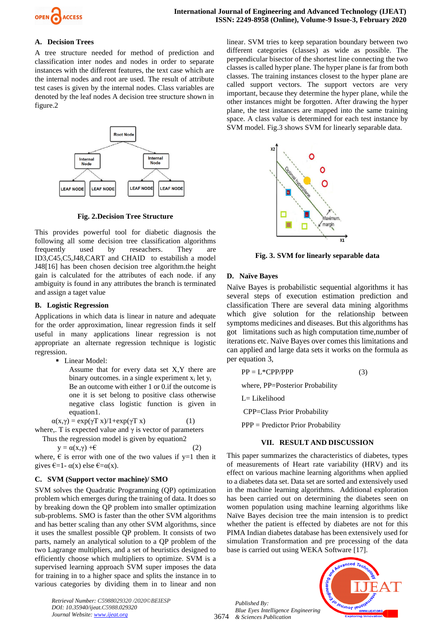

## **A. Decision Trees**

A tree structure needed for method of prediction and classification inter nodes and nodes in order to separate instances with the different features, the text case which are the internal nodes and root are used. The result of attribute test cases is given by the internal nodes. Class variables are denoted by the leaf nodes A decision tree structure shown in figure.2



**Fig. 2.Decision Tree Structure** 

This provides powerful tool for diabetic diagnosis the following all some decision tree classification algorithms frequently used by reseachers. They are ID3,C45,C5,J48,CART and CHAID to estabilish a model J48[16] has been chosen decision tree algorithm.the height gain is calculated for the attributes of each node. if any ambiguity is found in any attributes the branch is terminated and assign a taget value

## **B. Logistic Regression**

Applications in which data is linear in nature and adequate for the order approximation, linear regression finds it self useful in many applications linear regression is not appropriate an alternate regression technique is logistic regression.

**·** Linear Model:

Assume that for every data set X,Y there are binary outcomes. in a single experiment  $x_i$  let  $y_i$ Be an outcome with either 1 or 0.if the outcome is one it is set belong to positive class otherwise negative class logistic function is given in equation1.

 $\alpha(x,y) = \exp(\gamma T x) / 1 + \exp(\gamma T x)$  (1)

where,. T is expected value and  $\gamma$  is vector of parameters

Thus the regression model is given by equation2

 $y = \alpha(x, \gamma) + \epsilon$ where,  $\epsilon$  is error with one of the two values if y=1 then it gives  $\epsilon = 1 - \alpha(x)$  else  $\epsilon = \alpha(x)$ .

## **C. SVM (Support vector machine)/ SMO**

SVM solves the Quadratic Programming (QP) optimization problem which emerges during the training of data. It does so by breaking down the QP problem into smaller optimization sub-problems. SMO is faster than the other SVM algorithms and has better scaling than any other SVM algorithms, since it uses the smallest possible QP problem. It consists of two parts, namely an analytical solution to a QP problem of the two Lagrange multipliers, and a set of heuristics designed to efficiently choose which multipliers to optimize. SVM is a supervised learning approach SVM super imposes the data for training in to a higher space and splits the instance in to various categories by dividing them in to linear and non

*Retrieval Number: C5988029320 /2020©BEIESP DOI: 10.35940/ijeat.C5988.029320 Journal Website[: www.ijeat.org](http://www.ijeat.org/)*

linear. SVM tries to keep separation boundary between two different categories (classes) as wide as possible. The perpendicular bisector of the shortest line connecting the two classes is called hyper plane. The hyper plane is far from both classes. The training instances closest to the hyper plane are called support vectors. The support vectors are very important, because they determine the hyper plane, while the other instances might be forgotten. After drawing the hyper plane, the test instances are mapped into the same training space. A class value is determined for each test instance by SVM model. Fig.3 shows SVM for linearly separable data.



**Fig. 3. SVM for linearly separable data**

## **D. Naïve Bayes**

Naïve Bayes is probabilistic sequential algorithms it has several steps of execution estimation prediction and classification There are several data mining algorithms which give solution for the relationship between symptoms medicines and diseases. But this algorithms has got limitations such as high computation time,number of iterations etc. Naïve Bayes over comes this limitations and can applied and large data sets it works on the formula as per equation 3,

$$
PP = L^*CPP/PPP
$$
 (3)

where, PP=Posterior Probability

L= Likelihood

CPP=Class Prior Probability

PPP = Predictor Prior Probability

## **VII. RESULT AND DISCUSSION**

This paper summarizes the characteristics of diabetes, types of measurements of Heart rate variability (HRV) and its effect on various machine learning algorithms when applied to a diabetes data set. Data set are sorted and extensively used in the machine learning algorithms. Additional exploration has been carried out on determining the diabetes seen on women population using machine learning algorithms like Naïve Bayes decision tree the main intension is to predict whether the patient is effected by diabetes are not for this PIMA Indian diabetes database has been extensively used for simulation Transformation and pre processing of the data base is carried out using WEKA Software [17].

3674 *& Sciences Publication Published By: Blue Eyes Intelligence Engineering* 

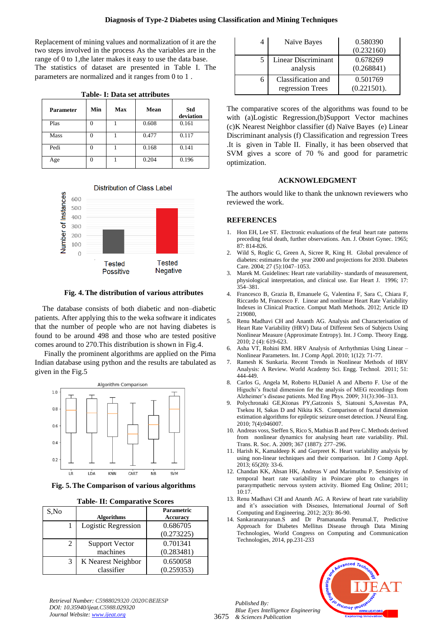Replacement of mining values and normalization of it are the two steps involved in the process As the variables are in the range of 0 to 1,the later makes it easy to use the data base. The statistics of dataset are presented in Table I. The parameters are normalized and it ranges from 0 to 1 .

|  |  | Table- I: Data set attributes |  |
|--|--|-------------------------------|--|
|  |  |                               |  |

| <b>Parameter</b> | Min | Max | Mean  | Std<br>deviation |
|------------------|-----|-----|-------|------------------|
| Plas             |     |     | 0.608 | 0.161            |
| Mass             |     |     | 0.477 | 0.117            |
| Pedi             |     |     | 0.168 | 0.141            |
| Age              |     |     | 0.204 | 0.196            |



**Fig. 4.The distribution of various attributes**

The database consists of both diabetic and non–diabetic patients. After applying this to the weka software it indicates that the number of people who are not having diabetes is found to be around 498 and those who are tested positive comes around to 270.This distribution is shown in Fig.4.

Finally the prominent algorithms are applied on the Pima Indian database using python and the results are tabulated as given in the Fig.5



**Fig. 5.The Comparison of various algorithms Table- II: Comparative Scores**

| Table- II: Comparative Scores |                |                       |                 |  |
|-------------------------------|----------------|-----------------------|-----------------|--|
| S,No                          |                |                       | Parametric      |  |
|                               |                | <b>Algorithms</b>     | <b>Accuracy</b> |  |
|                               |                | Logistic Regression   | 0.686705        |  |
|                               |                |                       | (0.273225)      |  |
|                               | $\mathfrak{D}$ | <b>Support Vector</b> | 0.701341        |  |
|                               |                | machines              | (0.283481)      |  |
|                               | 3              | K Nearest Neighbor    | 0.650058        |  |
|                               |                | classifier            | (0.259353)      |  |

|  | 'able- 1: Data set attribute |  |  |
|--|------------------------------|--|--|
|  |                              |  |  |

| 4 | Naïve Bayes                            | 0.580390<br>(0.232160)  |
|---|----------------------------------------|-------------------------|
|   | <b>Linear Discriminant</b><br>analysis | 0.678269<br>(0.268841)  |
| 6 | Classification and<br>regression Trees | 0.501769<br>(0.221501). |

The comparative scores of the algorithms was found to be with (a)Logistic Regression,(b)Support Vector machines (c)K Nearest Neighbor classifier (d) Naïve Bayes (e) Linear Discriminant analysis (f) Classification and regression Trees .It is given in Table II. Finally, it has been observed that SVM gives a score of 70 % and good for parametric optimization.

## **ACKNOWLEDGMENT**

The authors would like to thank the unknown reviewers who reviewed the work.

## **REFERENCES**

- 1. Hon EH, Lee ST. Electronic evaluations of the fetal heart rate patterns preceding fetal death, further observations. Am. J. Obstet Gynec. 1965; 87: 814-826.
- 2. Wild S, Roglic G, Green A, Sicree R, King H. Global prevalence of diabetes: estimates for the year 2000 and projections for 2030. Diabetes Care. 2004; 27 (5):1047–1053.
- Marek M. Guidelines: Heart rate variability- standards of measurement, physiological interpretation, and clinical use. [Eur Heart J.](http://www.hbuk.co.uk/wbs/ehj/) 1996; 17: 354–381.
- 4. Francesco B, Grazia B, Emanuele G, Valentina F, Sara C, Chiara F, Riccardo M, Francesco F. Linear and nonlinear Heart Rate Variability Indexes in Clinical Practice. Comput Math Methods. 2012; Article ID 219080,
- 5. Renu Madhavi CH and Ananth AG. Analysis and Characterisation of Heart Rate Variability (HRV) Data of Different Sets of Subjects Using Nonlinear Measure (Approximate Entropy). Int. J Comp. Theory Engg. 2010; 2 (4): 619-623.
- 6. Asha VT, Rohini RM. HRV Analysis of Arrhythmias Using Linear Nonlinear Parameters. Int. J Comp Appl. 2010; 1(12): 71-77.
- 7. Ramesh K Sunkaria. Recent Trends in Nonlinear Methods of HRV Analysis: A Review. World Academy Sci. Engg. Technol. 2011; 51: 444-449.
- 8. Carlos G, Angela M, Roberto H,Daniel A and Alberto F. Use of the Higuchi's fractal dimension for the analysis of MEG recordings from Alzheimer's disease patients. Med Eng Phys. 2009; 31(3):306–313.
- 9. Polychronaki GE,Ktonas PY,Gatzonis S, Siatouni S,Asvestas PA, Tsekou H, Sakas D and Nikita KS. Comparison of fractal dimension estimation algorithms for epileptic seizure onset detection. J Neural Eng. 2010; 7(4):046007.
- 10. Andreas voss, Steffen S, Rico S, Mathias B and Pere C. Methods derived from nonlinear dynamics for analysing heart rate variability. Phil. Trans. R. Soc. A. 2009; 367 (1887): 277–296.
- 11. Harish K, Kamaldeep K and Gurpreet K. Heart variability analysis by using non-linear techniques and their comparison. Int J Comp Appl. 2013; 65(20): 33-6.
- 12. Chandan KK, Ahsan HK, Andreas V and Marimuthu P. Sensitivity of temporal heart rate variability in Poincare plot to changes in parasympathetic nervous system activity. Biomed Eng Online; 2011; 10:17.
- 13. Renu Madhavi CH and Ananth AG. A Review of heart rate variability and it's association with Diseases, International Journal of Soft Computing and Engineering. 2012; 2(3): 86-90.
- 14. Sankaranarayanan.S and Dr Pramananda Perumal.T, Predictive Approach for Diabetes Mellitus Disease through Data Mining Technologies, World Congress on Computing and Communication Technologies, 2014, pp.231-233

3675 *& Sciences Publication Published By: Blue Eyes Intelligence Engineering* 



*Retrieval Number: C5988029320 /2020©BEIESP DOI: 10.35940/ijeat.C5988.029320 Journal Website[: www.ijeat.org](http://www.ijeat.org/)*